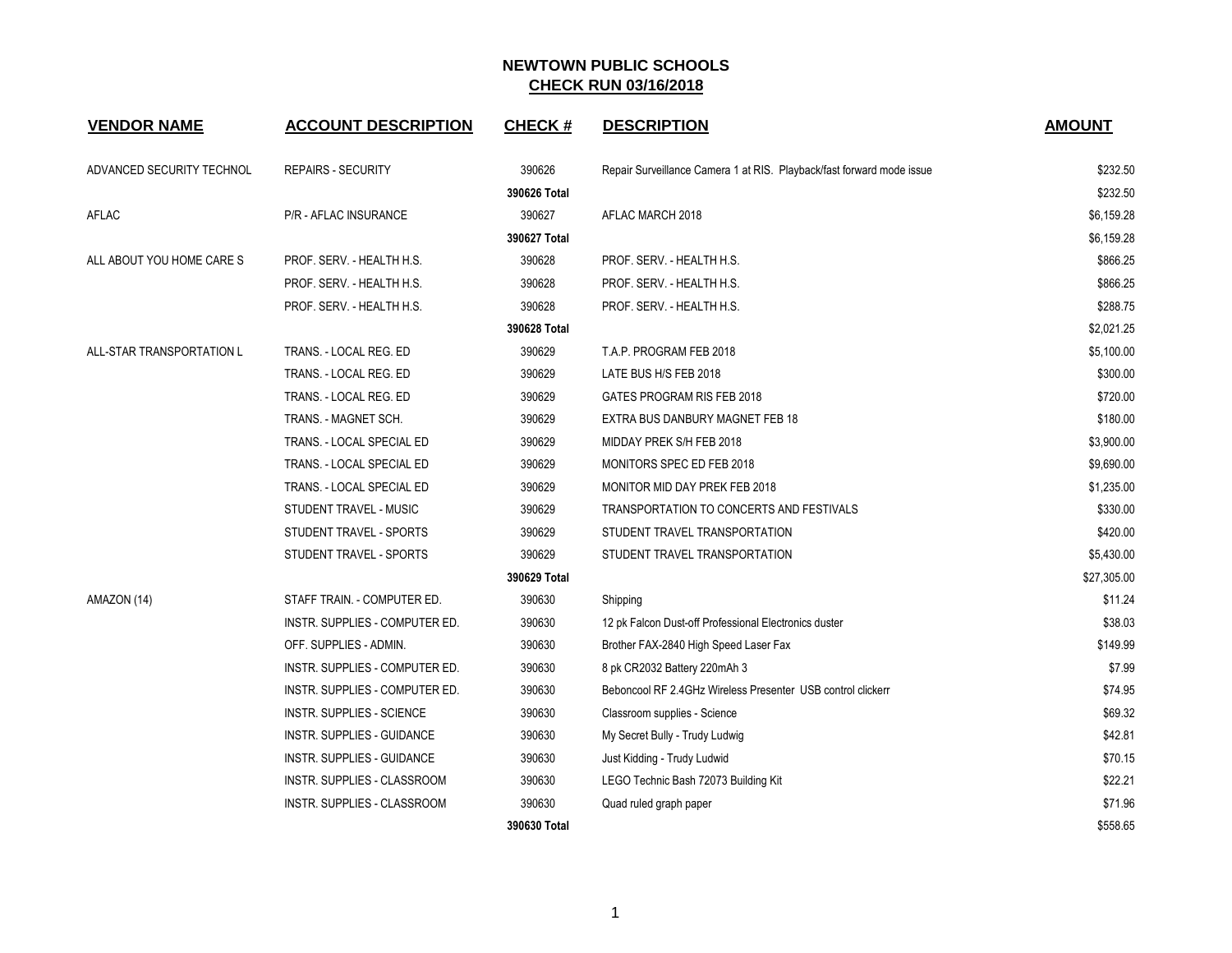| <b>VENDOR NAME</b>        | <b>ACCOUNT DESCRIPTION</b>       | <b>CHECK#</b> | <b>DESCRIPTION</b>                                                    | <b>AMOUNT</b> |
|---------------------------|----------------------------------|---------------|-----------------------------------------------------------------------|---------------|
| ADVANCED SECURITY TECHNOL | <b>REPAIRS - SECURITY</b>        | 390626        | Repair Surveillance Camera 1 at RIS. Playback/fast forward mode issue | \$232.50      |
|                           |                                  | 390626 Total  |                                                                       | \$232.50      |
| AFLAC                     | <b>P/R - AFLAC INSURANCE</b>     | 390627        | AFLAC MARCH 2018                                                      | \$6,159.28    |
|                           |                                  | 390627 Total  |                                                                       | \$6,159.28    |
| ALL ABOUT YOU HOME CARE S | PROF. SERV. - HEALTH H.S.        | 390628        | PROF. SERV. - HEALTH H.S.                                             | \$866.25      |
|                           | PROF. SERV. - HEALTH H.S.        | 390628        | PROF. SERV. - HEALTH H.S.                                             | \$866.25      |
|                           | PROF. SERV. - HEALTH H.S.        | 390628        | PROF. SERV. - HEALTH H.S.                                             | \$288.75      |
|                           |                                  | 390628 Total  |                                                                       | \$2,021.25    |
| ALL-STAR TRANSPORTATION L | TRANS. - LOCAL REG. ED           | 390629        | T.A.P. PROGRAM FEB 2018                                               | \$5,100.00    |
|                           | TRANS. - LOCAL REG. ED           | 390629        | LATE BUS H/S FEB 2018                                                 | \$300.00      |
|                           | TRANS. - LOCAL REG. ED           | 390629        | GATES PROGRAM RIS FEB 2018                                            | \$720.00      |
|                           | TRANS. - MAGNET SCH.             | 390629        | EXTRA BUS DANBURY MAGNET FEB 18                                       | \$180.00      |
|                           | TRANS. - LOCAL SPECIAL ED        | 390629        | MIDDAY PREK S/H FEB 2018                                              | \$3,900.00    |
|                           | TRANS. - LOCAL SPECIAL ED        | 390629        | MONITORS SPEC ED FEB 2018                                             | \$9,690.00    |
|                           | TRANS. - LOCAL SPECIAL ED        | 390629        | MONITOR MID DAY PREK FEB 2018                                         | \$1,235.00    |
|                           | STUDENT TRAVEL - MUSIC           | 390629        | TRANSPORTATION TO CONCERTS AND FESTIVALS                              | \$330.00      |
|                           | STUDENT TRAVEL - SPORTS          | 390629        | STUDENT TRAVEL TRANSPORTATION                                         | \$420.00      |
|                           | STUDENT TRAVEL - SPORTS          | 390629        | STUDENT TRAVEL TRANSPORTATION                                         | \$5,430.00    |
|                           |                                  | 390629 Total  |                                                                       | \$27,305.00   |
| AMAZON (14)               | STAFF TRAIN. - COMPUTER ED.      | 390630        | Shipping                                                              | \$11.24       |
|                           | INSTR. SUPPLIES - COMPUTER ED.   | 390630        | 12 pk Falcon Dust-off Professional Electronics duster                 | \$38.03       |
|                           | OFF. SUPPLIES - ADMIN.           | 390630        | Brother FAX-2840 High Speed Laser Fax                                 | \$149.99      |
|                           | INSTR. SUPPLIES - COMPUTER ED.   | 390630        | 8 pk CR2032 Battery 220mAh 3                                          | \$7.99        |
|                           | INSTR. SUPPLIES - COMPUTER ED.   | 390630        | Beboncool RF 2.4GHz Wireless Presenter USB control clickerr           | \$74.95       |
|                           | <b>INSTR. SUPPLIES - SCIENCE</b> | 390630        | Classroom supplies - Science                                          | \$69.32       |
|                           | INSTR. SUPPLIES - GUIDANCE       | 390630        | My Secret Bully - Trudy Ludwig                                        | \$42.81       |
|                           | INSTR. SUPPLIES - GUIDANCE       | 390630        | Just Kidding - Trudy Ludwid                                           | \$70.15       |
|                           | INSTR. SUPPLIES - CLASSROOM      | 390630        | LEGO Technic Bash 72073 Building Kit                                  | \$22.21       |
|                           | INSTR. SUPPLIES - CLASSROOM      | 390630        | Quad ruled graph paper                                                | \$71.96       |
|                           |                                  | 390630 Total  |                                                                       | \$558.65      |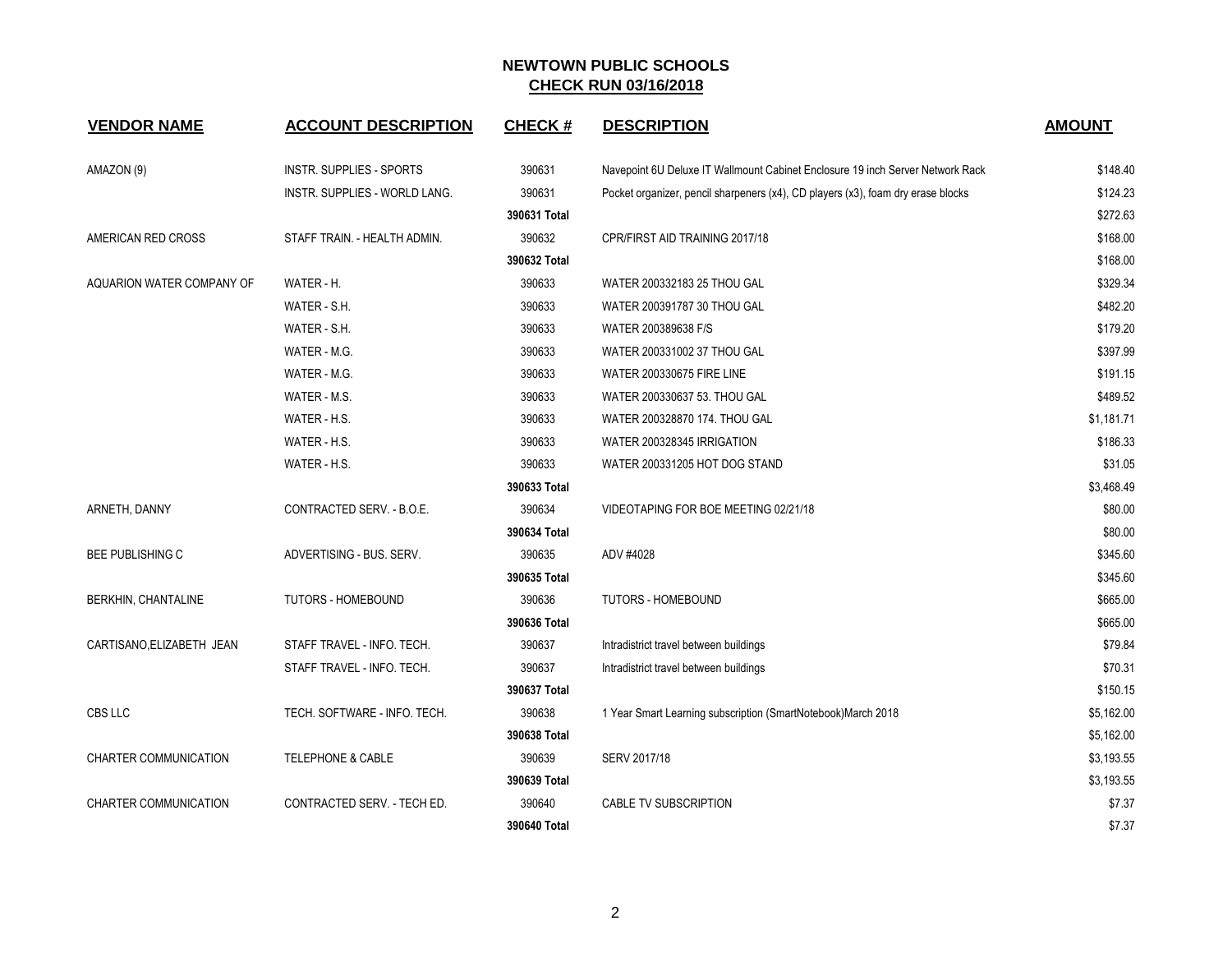| <b>VENDOR NAME</b>           | <b>ACCOUNT DESCRIPTION</b>           | <b>CHECK#</b> | <b>DESCRIPTION</b>                                                               | <b>AMOUNT</b> |
|------------------------------|--------------------------------------|---------------|----------------------------------------------------------------------------------|---------------|
| AMAZON (9)                   | <b>INSTR. SUPPLIES - SPORTS</b>      | 390631        | Navepoint 6U Deluxe IT Wallmount Cabinet Enclosure 19 inch Server Network Rack   | \$148.40      |
|                              | <b>INSTR. SUPPLIES - WORLD LANG.</b> | 390631        | Pocket organizer, pencil sharpeners (x4), CD players (x3), foam dry erase blocks | \$124.23      |
|                              |                                      | 390631 Total  |                                                                                  | \$272.63      |
| AMERICAN RED CROSS           | STAFF TRAIN. - HEALTH ADMIN.         | 390632        | CPR/FIRST AID TRAINING 2017/18                                                   | \$168.00      |
|                              |                                      | 390632 Total  |                                                                                  | \$168.00      |
| AQUARION WATER COMPANY OF    | WATER - H.                           | 390633        | WATER 200332183 25 THOU GAL                                                      | \$329.34      |
|                              | WATER - S.H.                         | 390633        | WATER 200391787 30 THOU GAL                                                      | \$482.20      |
|                              | WATER - S.H.                         | 390633        | WATER 200389638 F/S                                                              | \$179.20      |
|                              | WATER - M.G.                         | 390633        | WATER 200331002 37 THOU GAL                                                      | \$397.99      |
|                              | WATER - M.G.                         | 390633        | <b>WATER 200330675 FIRE LINE</b>                                                 | \$191.15      |
|                              | WATER - M.S.                         | 390633        | WATER 200330637 53. THOU GAL                                                     | \$489.52      |
|                              | WATER - H.S.                         | 390633        | WATER 200328870 174. THOU GAL                                                    | \$1,181.71    |
|                              | WATER - H.S.                         | 390633        | WATER 200328345 IRRIGATION                                                       | \$186.33      |
|                              | WATER - H.S.                         | 390633        | WATER 200331205 HOT DOG STAND                                                    | \$31.05       |
|                              |                                      | 390633 Total  |                                                                                  | \$3,468.49    |
| ARNETH, DANNY                | CONTRACTED SERV. - B.O.E.            | 390634        | VIDEOTAPING FOR BOE MEETING 02/21/18                                             | \$80.00       |
|                              |                                      | 390634 Total  |                                                                                  | \$80.00       |
| <b>BEE PUBLISHING C</b>      | ADVERTISING - BUS. SERV.             | 390635        | ADV #4028                                                                        | \$345.60      |
|                              |                                      | 390635 Total  |                                                                                  | \$345.60      |
| <b>BERKHIN, CHANTALINE</b>   | <b>TUTORS - HOMEBOUND</b>            | 390636        | TUTORS - HOMEBOUND                                                               | \$665.00      |
|                              |                                      | 390636 Total  |                                                                                  | \$665.00      |
| CARTISANO, ELIZABETH JEAN    | STAFF TRAVEL - INFO. TECH.           | 390637        | Intradistrict travel between buildings                                           | \$79.84       |
|                              | STAFF TRAVEL - INFO. TECH.           | 390637        | Intradistrict travel between buildings                                           | \$70.31       |
|                              |                                      | 390637 Total  |                                                                                  | \$150.15      |
| CBS LLC                      | TECH. SOFTWARE - INFO. TECH.         | 390638        | 1 Year Smart Learning subscription (SmartNotebook) March 2018                    | \$5,162.00    |
|                              |                                      | 390638 Total  |                                                                                  | \$5,162.00    |
| <b>CHARTER COMMUNICATION</b> | <b>TELEPHONE &amp; CABLE</b>         | 390639        | SERV 2017/18                                                                     | \$3,193.55    |
|                              |                                      | 390639 Total  |                                                                                  | \$3,193.55    |
| <b>CHARTER COMMUNICATION</b> | CONTRACTED SERV. - TECH ED.          | 390640        | <b>CABLE TV SUBSCRIPTION</b>                                                     | \$7.37        |
|                              |                                      | 390640 Total  |                                                                                  | \$7.37        |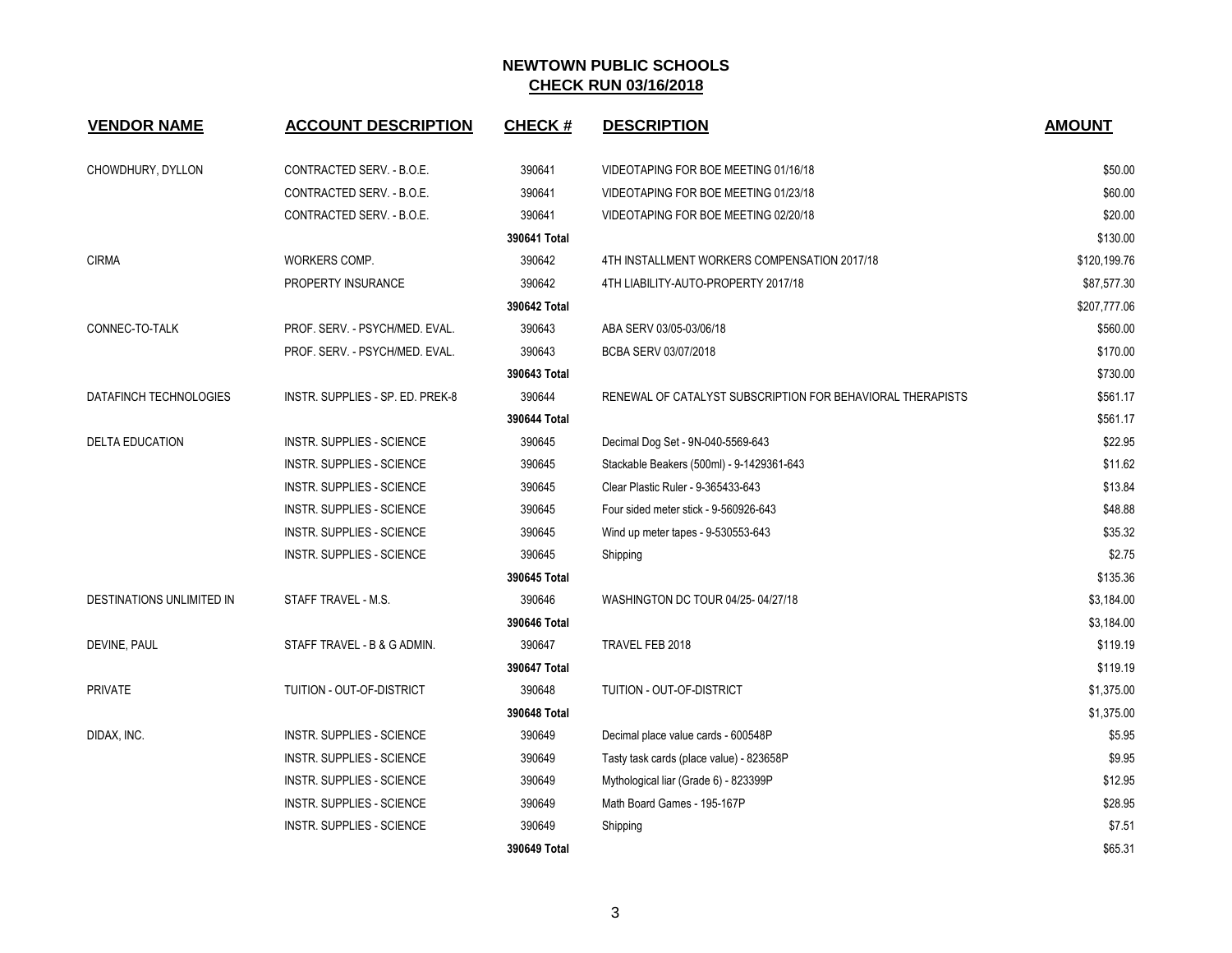| <b>VENDOR NAME</b>               | <b>ACCOUNT DESCRIPTION</b>       | <b>CHECK#</b> | <b>DESCRIPTION</b>                                         | <b>AMOUNT</b> |
|----------------------------------|----------------------------------|---------------|------------------------------------------------------------|---------------|
| CHOWDHURY, DYLLON                | CONTRACTED SERV. - B.O.E.        | 390641        | VIDEOTAPING FOR BOE MEETING 01/16/18                       | \$50.00       |
|                                  | CONTRACTED SERV. - B.O.E.        | 390641        | VIDEOTAPING FOR BOE MEETING 01/23/18                       | \$60.00       |
|                                  | CONTRACTED SERV. - B.O.E.        | 390641        | VIDEOTAPING FOR BOE MEETING 02/20/18                       | \$20.00       |
|                                  |                                  | 390641 Total  |                                                            | \$130.00      |
| <b>CIRMA</b>                     | WORKERS COMP.                    | 390642        | 4TH INSTALLMENT WORKERS COMPENSATION 2017/18               | \$120,199.76  |
|                                  | PROPERTY INSURANCE               | 390642        | 4TH LIABILITY-AUTO-PROPERTY 2017/18                        | \$87,577.30   |
|                                  |                                  | 390642 Total  |                                                            | \$207,777.06  |
| CONNEC-TO-TALK                   | PROF. SERV. - PSYCH/MED. EVAL.   | 390643        | ABA SERV 03/05-03/06/18                                    | \$560.00      |
|                                  | PROF. SERV. - PSYCH/MED. EVAL.   | 390643        | BCBA SERV 03/07/2018                                       | \$170.00      |
|                                  |                                  | 390643 Total  |                                                            | \$730.00      |
| DATAFINCH TECHNOLOGIES           | INSTR. SUPPLIES - SP. ED. PREK-8 | 390644        | RENEWAL OF CATALYST SUBSCRIPTION FOR BEHAVIORAL THERAPISTS | \$561.17      |
|                                  |                                  | 390644 Total  |                                                            | \$561.17      |
| <b>DELTA EDUCATION</b>           | <b>INSTR. SUPPLIES - SCIENCE</b> | 390645        | Decimal Dog Set - 9N-040-5569-643                          | \$22.95       |
|                                  | <b>INSTR. SUPPLIES - SCIENCE</b> | 390645        | Stackable Beakers (500ml) - 9-1429361-643                  | \$11.62       |
|                                  | <b>INSTR. SUPPLIES - SCIENCE</b> | 390645        | Clear Plastic Ruler - 9-365433-643                         | \$13.84       |
|                                  | INSTR. SUPPLIES - SCIENCE        | 390645        | Four sided meter stick - 9-560926-643                      | \$48.88       |
|                                  | INSTR. SUPPLIES - SCIENCE        | 390645        | Wind up meter tapes - 9-530553-643                         | \$35.32       |
|                                  | <b>INSTR. SUPPLIES - SCIENCE</b> | 390645        | Shipping                                                   | \$2.75        |
|                                  |                                  | 390645 Total  |                                                            | \$135.36      |
| <b>DESTINATIONS UNLIMITED IN</b> | STAFF TRAVEL - M.S.              | 390646        | WASHINGTON DC TOUR 04/25-04/27/18                          | \$3,184.00    |
|                                  |                                  | 390646 Total  |                                                            | \$3,184.00    |
| DEVINE, PAUL                     | STAFF TRAVEL - B & G ADMIN.      | 390647        | TRAVEL FEB 2018                                            | \$119.19      |
|                                  |                                  | 390647 Total  |                                                            | \$119.19      |
| <b>PRIVATE</b>                   | TUITION - OUT-OF-DISTRICT        | 390648        | TUITION - OUT-OF-DISTRICT                                  | \$1,375.00    |
|                                  |                                  | 390648 Total  |                                                            | \$1,375.00    |
| DIDAX, INC.                      | <b>INSTR. SUPPLIES - SCIENCE</b> | 390649        | Decimal place value cards - 600548P                        | \$5.95        |
|                                  | <b>INSTR. SUPPLIES - SCIENCE</b> | 390649        | Tasty task cards (place value) - 823658P                   | \$9.95        |
|                                  | INSTR. SUPPLIES - SCIENCE        | 390649        | Mythological liar (Grade 6) - 823399P                      | \$12.95       |
|                                  | <b>INSTR. SUPPLIES - SCIENCE</b> | 390649        | Math Board Games - 195-167P                                | \$28.95       |
|                                  | <b>INSTR. SUPPLIES - SCIENCE</b> | 390649        | Shipping                                                   | \$7.51        |
|                                  |                                  | 390649 Total  |                                                            | \$65.31       |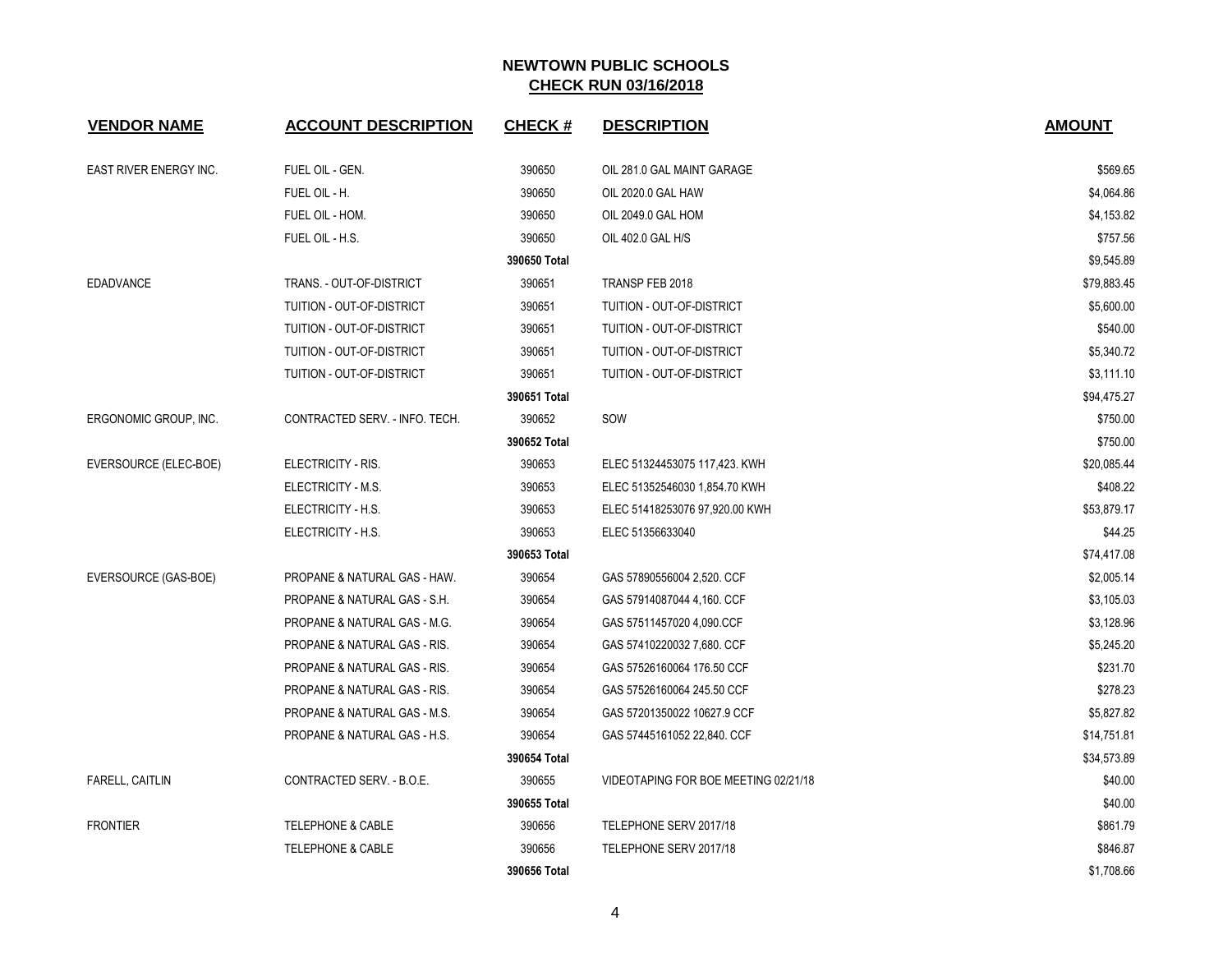| <b>VENDOR NAME</b>            | <b>ACCOUNT DESCRIPTION</b>              | <b>CHECK#</b> | <b>DESCRIPTION</b>                   | <b>AMOUNT</b> |
|-------------------------------|-----------------------------------------|---------------|--------------------------------------|---------------|
| <b>EAST RIVER ENERGY INC.</b> | FUEL OIL - GEN.                         | 390650        | OIL 281.0 GAL MAINT GARAGE           | \$569.65      |
|                               | FUEL OIL - H.                           | 390650        | OIL 2020.0 GAL HAW                   | \$4,064.86    |
|                               | FUEL OIL - HOM.                         | 390650        | OIL 2049.0 GAL HOM                   | \$4,153.82    |
|                               | FUEL OIL - H.S.                         | 390650        | OIL 402.0 GAL H/S                    | \$757.56      |
|                               |                                         | 390650 Total  |                                      | \$9,545.89    |
| <b>EDADVANCE</b>              | TRANS. - OUT-OF-DISTRICT                | 390651        | TRANSP FEB 2018                      | \$79,883.45   |
|                               | TUITION - OUT-OF-DISTRICT               | 390651        | TUITION - OUT-OF-DISTRICT            | \$5,600.00    |
|                               | TUITION - OUT-OF-DISTRICT               | 390651        | TUITION - OUT-OF-DISTRICT            | \$540.00      |
|                               | TUITION - OUT-OF-DISTRICT               | 390651        | TUITION - OUT-OF-DISTRICT            | \$5,340.72    |
|                               | TUITION - OUT-OF-DISTRICT               | 390651        | TUITION - OUT-OF-DISTRICT            | \$3,111.10    |
|                               |                                         | 390651 Total  |                                      | \$94,475.27   |
| ERGONOMIC GROUP, INC.         | CONTRACTED SERV. - INFO. TECH.          | 390652        | SOW                                  | \$750.00      |
|                               |                                         | 390652 Total  |                                      | \$750.00      |
| EVERSOURCE (ELEC-BOE)         | ELECTRICITY - RIS.                      | 390653        | ELEC 51324453075 117,423. KWH        | \$20,085.44   |
|                               | ELECTRICITY - M.S.                      | 390653        | ELEC 51352546030 1,854.70 KWH        | \$408.22      |
|                               | ELECTRICITY - H.S.                      | 390653        | ELEC 51418253076 97,920.00 KWH       | \$53.879.17   |
|                               | ELECTRICITY - H.S.                      | 390653        | ELEC 51356633040                     | \$44.25       |
|                               |                                         | 390653 Total  |                                      | \$74,417.08   |
| EVERSOURCE (GAS-BOE)          | PROPANE & NATURAL GAS - HAW.            | 390654        | GAS 57890556004 2,520. CCF           | \$2,005.14    |
|                               | PROPANE & NATURAL GAS - S.H.            | 390654        | GAS 57914087044 4,160. CCF           | \$3,105.03    |
|                               | PROPANE & NATURAL GAS - M.G.            | 390654        | GAS 57511457020 4,090.CCF            | \$3,128.96    |
|                               | PROPANE & NATURAL GAS - RIS.            | 390654        | GAS 57410220032 7,680. CCF           | \$5,245.20    |
|                               | PROPANE & NATURAL GAS - RIS.            | 390654        | GAS 57526160064 176.50 CCF           | \$231.70      |
|                               | <b>PROPANE &amp; NATURAL GAS - RIS.</b> | 390654        | GAS 57526160064 245.50 CCF           | \$278.23      |
|                               | PROPANE & NATURAL GAS - M.S.            | 390654        | GAS 57201350022 10627.9 CCF          | \$5,827.82    |
|                               | PROPANE & NATURAL GAS - H.S.            | 390654        | GAS 57445161052 22,840. CCF          | \$14,751.81   |
|                               |                                         | 390654 Total  |                                      | \$34,573.89   |
| <b>FARELL, CAITLIN</b>        | CONTRACTED SERV. - B.O.E.               | 390655        | VIDEOTAPING FOR BOE MEETING 02/21/18 | \$40.00       |
|                               |                                         | 390655 Total  |                                      | \$40.00       |
| <b>FRONTIER</b>               | <b>TELEPHONE &amp; CABLE</b>            | 390656        | TELEPHONE SERV 2017/18               | \$861.79      |
|                               | <b>TELEPHONE &amp; CABLE</b>            | 390656        | TELEPHONE SERV 2017/18               | \$846.87      |
|                               |                                         | 390656 Total  |                                      | \$1,708.66    |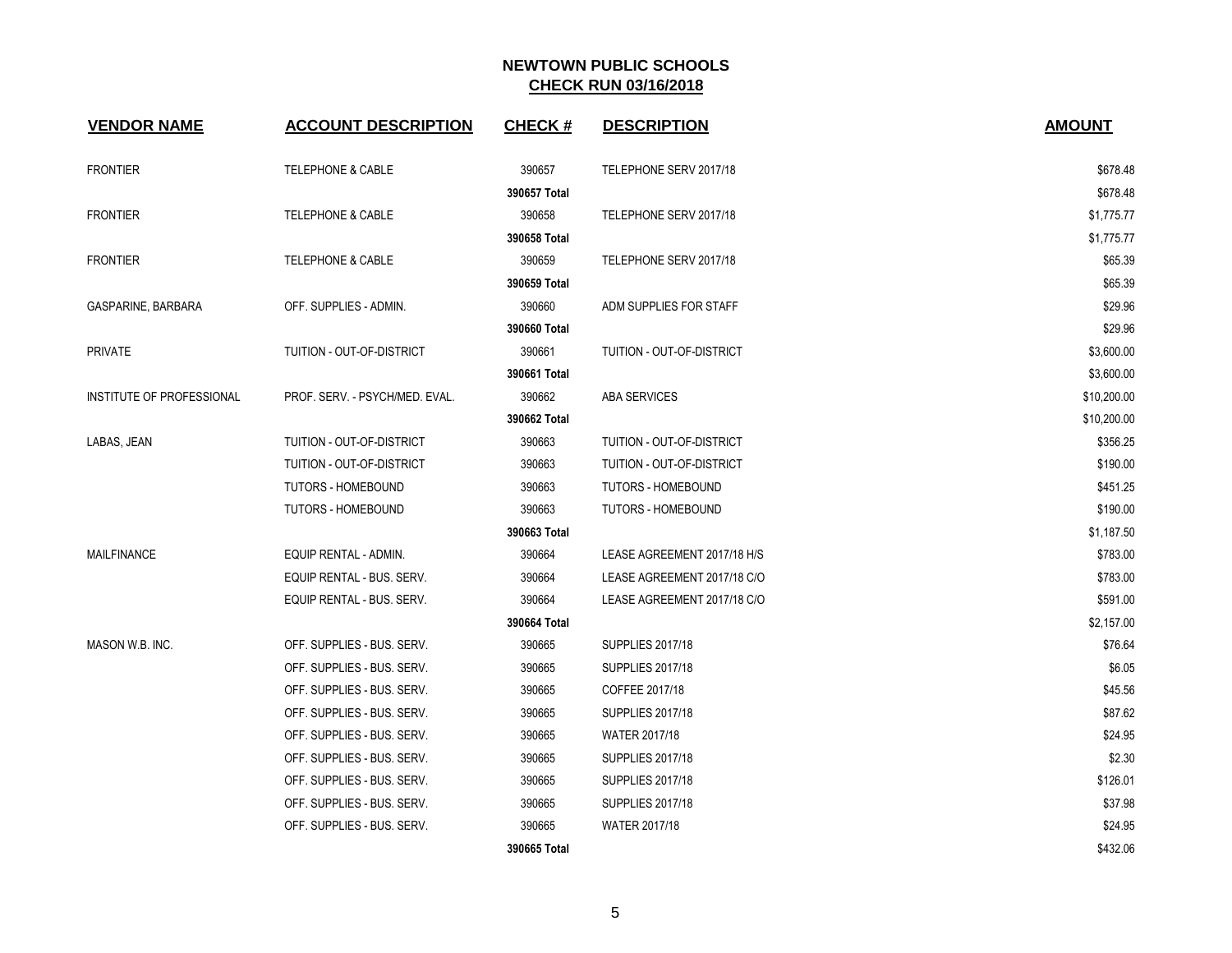| <b>VENDOR NAME</b>        | <b>ACCOUNT DESCRIPTION</b>     | <b>CHECK#</b> | <b>DESCRIPTION</b>          | <b>AMOUNT</b> |
|---------------------------|--------------------------------|---------------|-----------------------------|---------------|
| <b>FRONTIER</b>           | <b>TELEPHONE &amp; CABLE</b>   | 390657        | TELEPHONE SERV 2017/18      | \$678.48      |
|                           |                                | 390657 Total  |                             | \$678.48      |
| <b>FRONTIER</b>           | <b>TELEPHONE &amp; CABLE</b>   | 390658        | TELEPHONE SERV 2017/18      | \$1,775.77    |
|                           |                                | 390658 Total  |                             | \$1,775.77    |
| <b>FRONTIER</b>           | <b>TELEPHONE &amp; CABLE</b>   | 390659        | TELEPHONE SERV 2017/18      | \$65.39       |
|                           |                                | 390659 Total  |                             | \$65.39       |
| GASPARINE, BARBARA        | OFF. SUPPLIES - ADMIN.         | 390660        | ADM SUPPLIES FOR STAFF      | \$29.96       |
|                           |                                | 390660 Total  |                             | \$29.96       |
| <b>PRIVATE</b>            | TUITION - OUT-OF-DISTRICT      | 390661        | TUITION - OUT-OF-DISTRICT   | \$3,600.00    |
|                           |                                | 390661 Total  |                             | \$3,600.00    |
| INSTITUTE OF PROFESSIONAL | PROF. SERV. - PSYCH/MED. EVAL. | 390662        | ABA SERVICES                | \$10,200.00   |
|                           |                                | 390662 Total  |                             | \$10,200.00   |
| LABAS, JEAN               | TUITION - OUT-OF-DISTRICT      | 390663        | TUITION - OUT-OF-DISTRICT   | \$356.25      |
|                           | TUITION - OUT-OF-DISTRICT      | 390663        | TUITION - OUT-OF-DISTRICT   | \$190.00      |
|                           | <b>TUTORS - HOMEBOUND</b>      | 390663        | <b>TUTORS - HOMEBOUND</b>   | \$451.25      |
|                           | TUTORS - HOMEBOUND             | 390663        | <b>TUTORS - HOMEBOUND</b>   | \$190.00      |
|                           |                                | 390663 Total  |                             | \$1,187.50    |
| MAILFINANCE               | EQUIP RENTAL - ADMIN.          | 390664        | LEASE AGREEMENT 2017/18 H/S | \$783.00      |
|                           | EQUIP RENTAL - BUS. SERV.      | 390664        | LEASE AGREEMENT 2017/18 C/O | \$783.00      |
|                           | EQUIP RENTAL - BUS. SERV.      | 390664        | LEASE AGREEMENT 2017/18 C/O | \$591.00      |
|                           |                                | 390664 Total  |                             | \$2,157.00    |
| MASON W.B. INC.           | OFF. SUPPLIES - BUS. SERV.     | 390665        | <b>SUPPLIES 2017/18</b>     | \$76.64       |
|                           | OFF. SUPPLIES - BUS. SERV.     | 390665        | <b>SUPPLIES 2017/18</b>     | \$6.05        |
|                           | OFF. SUPPLIES - BUS. SERV.     | 390665        | COFFEE 2017/18              | \$45.56       |
|                           | OFF. SUPPLIES - BUS. SERV.     | 390665        | SUPPLIES 2017/18            | \$87.62       |
|                           | OFF. SUPPLIES - BUS. SERV.     | 390665        | WATER 2017/18               | \$24.95       |
|                           | OFF. SUPPLIES - BUS. SERV.     | 390665        | <b>SUPPLIES 2017/18</b>     | \$2.30        |
|                           | OFF. SUPPLIES - BUS. SERV.     | 390665        | <b>SUPPLIES 2017/18</b>     | \$126.01      |
|                           | OFF. SUPPLIES - BUS. SERV.     | 390665        | <b>SUPPLIES 2017/18</b>     | \$37.98       |
|                           | OFF. SUPPLIES - BUS. SERV.     | 390665        | WATER 2017/18               | \$24.95       |
|                           |                                | 390665 Total  |                             | \$432.06      |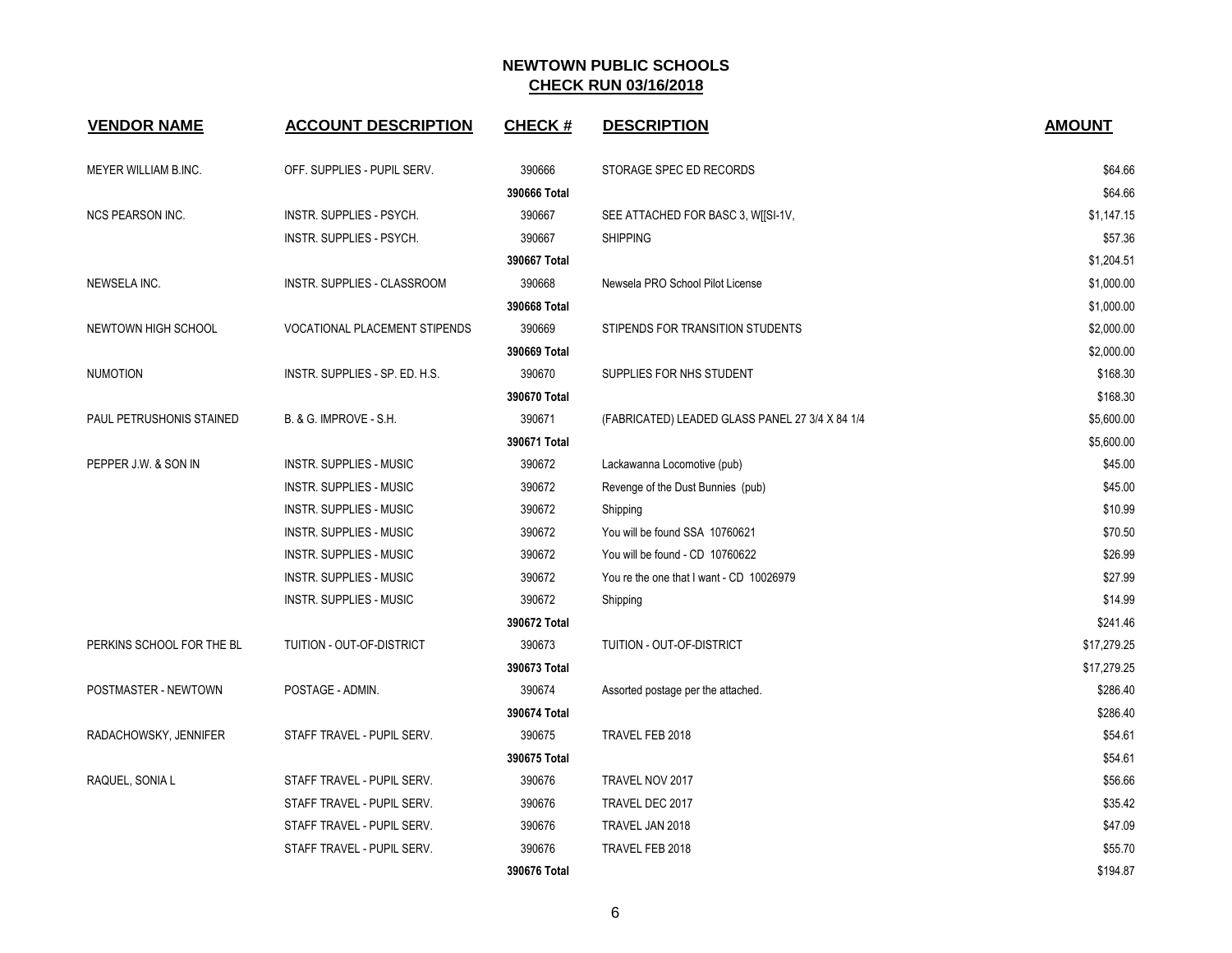| <b>VENDOR NAME</b>        | <b>ACCOUNT DESCRIPTION</b>     | <b>CHECK#</b> | <b>DESCRIPTION</b>                              | <b>AMOUNT</b> |
|---------------------------|--------------------------------|---------------|-------------------------------------------------|---------------|
| MEYER WILLIAM B.INC.      | OFF. SUPPLIES - PUPIL SERV.    | 390666        | STORAGE SPEC ED RECORDS                         | \$64.66       |
|                           |                                | 390666 Total  |                                                 | \$64.66       |
| <b>NCS PEARSON INC.</b>   | INSTR. SUPPLIES - PSYCH.       | 390667        | SEE ATTACHED FOR BASC 3, W[[SI-1V,              | \$1,147.15    |
|                           | INSTR. SUPPLIES - PSYCH.       | 390667        | <b>SHIPPING</b>                                 | \$57.36       |
|                           |                                | 390667 Total  |                                                 | \$1,204.51    |
| NEWSELA INC.              | INSTR. SUPPLIES - CLASSROOM    | 390668        | Newsela PRO School Pilot License                | \$1,000.00    |
|                           |                                | 390668 Total  |                                                 | \$1,000.00    |
| NEWTOWN HIGH SCHOOL       | VOCATIONAL PLACEMENT STIPENDS  | 390669        | STIPENDS FOR TRANSITION STUDENTS                | \$2,000.00    |
|                           |                                | 390669 Total  |                                                 | \$2,000.00    |
| <b>NUMOTION</b>           | INSTR. SUPPLIES - SP. ED. H.S. | 390670        | SUPPLIES FOR NHS STUDENT                        | \$168.30      |
|                           |                                | 390670 Total  |                                                 | \$168.30      |
| PAUL PETRUSHONIS STAINED  | B. & G. IMPROVE - S.H.         | 390671        | (FABRICATED) LEADED GLASS PANEL 27 3/4 X 84 1/4 | \$5,600.00    |
|                           |                                | 390671 Total  |                                                 | \$5,600.00    |
| PEPPER J.W. & SON IN      | <b>INSTR. SUPPLIES - MUSIC</b> | 390672        | Lackawanna Locomotive (pub)                     | \$45.00       |
|                           | <b>INSTR. SUPPLIES - MUSIC</b> | 390672        | Revenge of the Dust Bunnies (pub)               | \$45.00       |
|                           | <b>INSTR. SUPPLIES - MUSIC</b> | 390672        | Shipping                                        | \$10.99       |
|                           | <b>INSTR. SUPPLIES - MUSIC</b> | 390672        | You will be found SSA 10760621                  | \$70.50       |
|                           | <b>INSTR. SUPPLIES - MUSIC</b> | 390672        | You will be found - CD 10760622                 | \$26.99       |
|                           | <b>INSTR. SUPPLIES - MUSIC</b> | 390672        | You re the one that I want - CD 10026979        | \$27.99       |
|                           | <b>INSTR. SUPPLIES - MUSIC</b> | 390672        | Shipping                                        | \$14.99       |
|                           |                                | 390672 Total  |                                                 | \$241.46      |
| PERKINS SCHOOL FOR THE BL | TUITION - OUT-OF-DISTRICT      | 390673        | TUITION - OUT-OF-DISTRICT                       | \$17,279.25   |
|                           |                                | 390673 Total  |                                                 | \$17,279.25   |
| POSTMASTER - NEWTOWN      | POSTAGE - ADMIN.               | 390674        | Assorted postage per the attached.              | \$286.40      |
|                           |                                | 390674 Total  |                                                 | \$286.40      |
| RADACHOWSKY, JENNIFER     | STAFF TRAVEL - PUPIL SERV.     | 390675        | TRAVEL FEB 2018                                 | \$54.61       |
|                           |                                | 390675 Total  |                                                 | \$54.61       |
| RAQUEL, SONIA L           | STAFF TRAVEL - PUPIL SERV.     | 390676        | TRAVEL NOV 2017                                 | \$56.66       |
|                           | STAFF TRAVEL - PUPIL SERV.     | 390676        | TRAVEL DEC 2017                                 | \$35.42       |
|                           | STAFF TRAVEL - PUPIL SERV.     | 390676        | TRAVEL JAN 2018                                 | \$47.09       |
|                           | STAFF TRAVEL - PUPIL SERV.     | 390676        | TRAVEL FEB 2018                                 | \$55.70       |
|                           |                                | 390676 Total  |                                                 | \$194.87      |